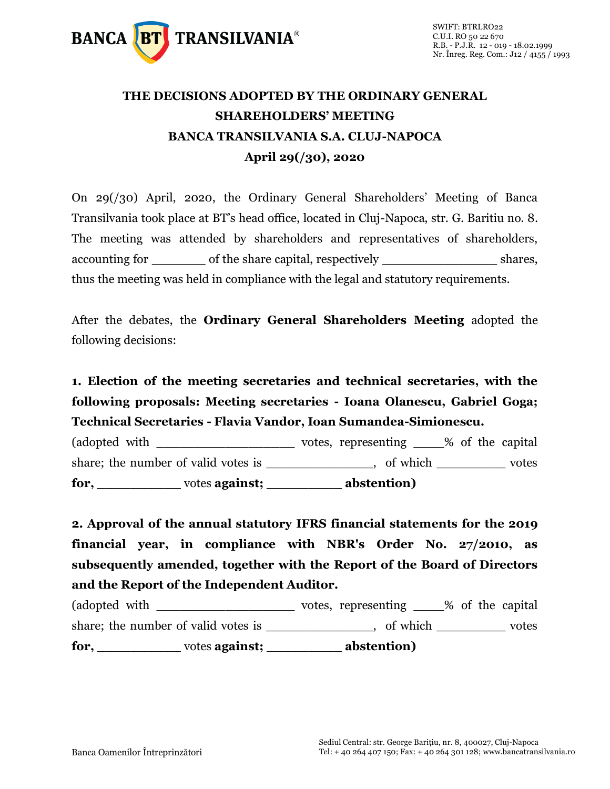

# **THE DECISIONS ADOPTED BY THE ORDINARY GENERAL SHAREHOLDERS' MEETING BANCA TRANSILVANIA S.A. CLUJ-NAPOCA April 29(/30), 2020**

On 29(/30) April, 2020, the Ordinary General Shareholders' Meeting of Banca Transilvania took place at BT's head office, located in Cluj-Napoca, str. G. Baritiu no. 8. The meeting was attended by shareholders and representatives of shareholders, accounting for  $\qquad \qquad$  of the share capital, respectively shares, thus the meeting was held in compliance with the legal and statutory requirements.

After the debates, the **Ordinary General Shareholders Meeting** adopted the following decisions:

## **1. Election of the meeting secretaries and technical secretaries, with the following proposals: Meeting secretaries - Ioana Olanescu, Gabriel Goga; Technical Secretaries - Flavia Vandor, Ioan Sumandea-Simionescu.**

(adopted with \_\_\_\_\_\_\_\_\_\_\_\_\_\_\_\_\_\_\_\_\_\_\_\_\_\_ votes, representing \_\_\_\_\_% of the capital share; the number of valid votes is \_\_\_\_\_\_\_\_\_\_\_, of which \_\_\_\_\_\_\_\_\_\_ votes **for, \_\_\_\_\_\_\_\_\_\_** votes **against; \_\_\_\_\_\_\_\_\_ abstention)**

**2. Approval of the annual statutory IFRS financial statements for the 2019 financial year, in compliance with NBR's Order No. 27/2010, as subsequently amended, together with the Report of the Board of Directors and the Report of the Independent Auditor.** 

(adopted with \_\_\_\_\_\_\_\_\_\_\_\_\_\_\_\_\_\_\_\_\_\_\_\_ votes, representing \_\_\_\_% of the capital share; the number of valid votes is \_\_\_\_\_\_\_\_\_\_\_\_, of which \_\_\_\_\_\_\_\_\_\_ votes **for, \_\_\_\_\_\_\_\_\_\_** votes **against; \_\_\_\_\_\_\_\_\_ abstention)**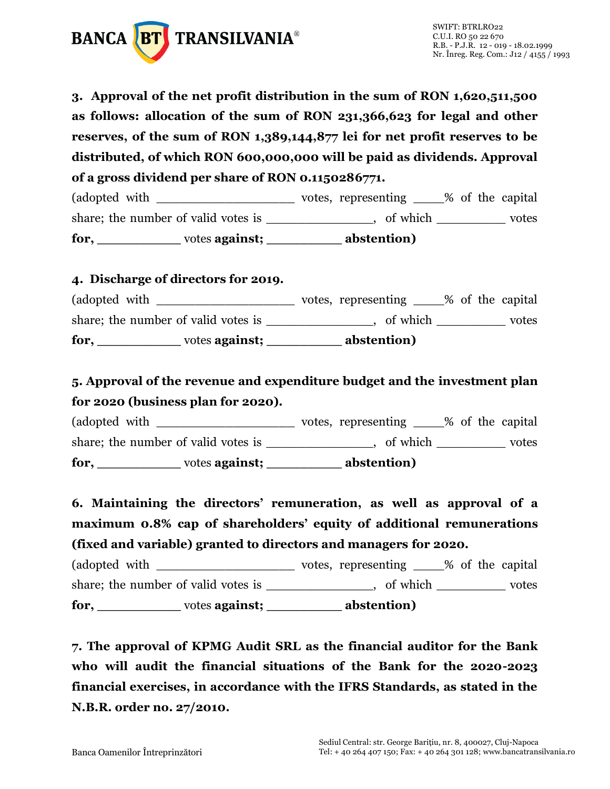

**3. Approval of the net profit distribution in the sum of RON 1,620,511,500 as follows: allocation of the sum of RON 231,366,623 for legal and other reserves, of the sum of RON 1,389,144,877 lei for net profit reserves to be distributed, of which RON 600,000,000 will be paid as dividends. Approval of a gross dividend per share of RON 0.1150286771.**

(adopted with with with  $\sim$  votes, representing  $\sim$  % of the capital share; the number of valid votes is example the number of valid votes is the state of votes of which  $\sim$ **for, \_\_\_\_\_\_\_\_\_\_** votes **against; \_\_\_\_\_\_\_\_\_ abstention)**

#### **4. Discharge of directors for 2019.**

(adopted with \_\_\_\_\_\_\_\_\_\_\_\_\_\_\_\_\_\_\_\_\_\_\_\_\_\_ votes, representing \_\_\_\_\_% of the capital share; the number of valid votes is \_\_\_\_\_\_\_\_\_\_\_\_\_, of which \_\_\_\_\_\_\_\_\_\_ votes **for, \_\_\_\_\_\_\_\_\_\_** votes **against; \_\_\_\_\_\_\_\_\_ abstention)**

### **5. Approval of the revenue and expenditure budget and the investment plan for 2020 (business plan for 2020).**

(adopted with \_\_\_\_\_\_\_\_\_\_\_\_\_\_\_\_\_\_\_\_\_\_\_\_\_ votes, representing \_\_\_\_% of the capital share; the number of valid votes is \_\_\_\_\_\_\_\_\_\_\_\_\_, of which \_\_\_\_\_\_\_\_\_ votes **for, \_\_\_\_\_\_\_\_\_\_** votes **against; \_\_\_\_\_\_\_\_\_ abstention)**

## **6. Maintaining the directors' remuneration, as well as approval of a maximum 0.8% cap of shareholders' equity of additional remunerations (fixed and variable) granted to directors and managers for 2020.**

(adopted with with with  $\sim$  votes, representing  $\sim$  % of the capital share; the number of valid votes is example the number of valid votes is the state of votes of which  $\sim$ **for, \_\_\_\_\_\_\_\_\_\_** votes **against; \_\_\_\_\_\_\_\_\_ abstention)**

**7. The approval of KPMG Audit SRL as the financial auditor for the Bank who will audit the financial situations of the Bank for the 2020-2023 financial exercises, in accordance with the IFRS Standards, as stated in the N.B.R. order no. 27/2010.**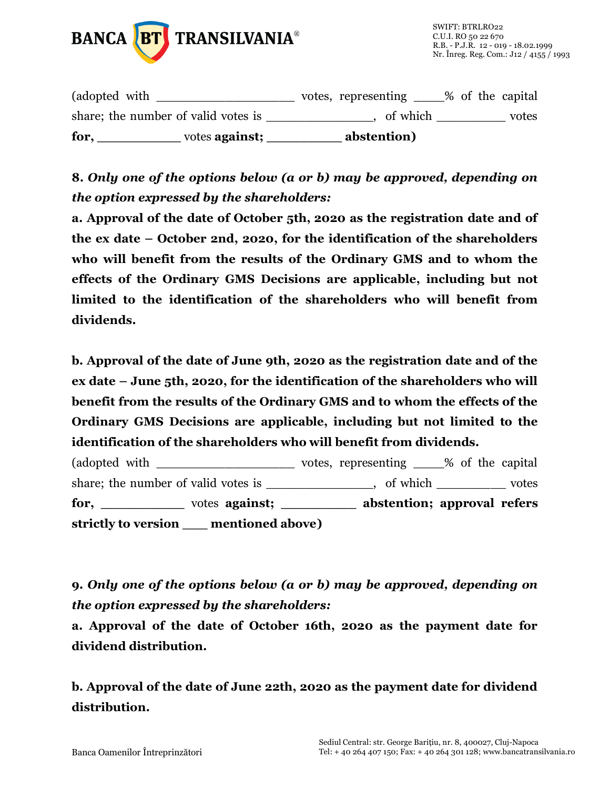

| for,                                | votes against; | abstention)         |          |                  |       |
|-------------------------------------|----------------|---------------------|----------|------------------|-------|
| share; the number of valid votes is |                |                     | of which |                  | votes |
| (adopted with                       |                | votes, representing |          | % of the capital |       |

**8.** *Only one of the options below (a or b) may be approved, depending on the option expressed by the shareholders:*

**a. Approval of the date of October 5th, 2020 as the registration date and of the ex date – October 2nd, 2020, for the identification of the shareholders who will benefit from the results of the Ordinary GMS and to whom the effects of the Ordinary GMS Decisions are applicable, including but not limited to the identification of the shareholders who will benefit from dividends.** 

**b. Approval of the date of June 9th, 2020 as the registration date and of the ex date – June 5th, 2020, for the identification of the shareholders who will benefit from the results of the Ordinary GMS and to whom the effects of the Ordinary GMS Decisions are applicable, including but not limited to the identification of the shareholders who will benefit from dividends.**

(adopted with \_\_\_\_\_\_\_\_\_\_\_\_\_\_\_\_\_\_\_\_\_\_\_ votes, representing \_\_\_\_% of the capital share; the number of valid votes is \_\_\_\_\_\_\_\_\_\_\_, of which \_\_\_\_\_\_\_\_\_\_ votes **for, \_\_\_\_\_\_\_\_\_\_** votes **against; \_\_\_\_\_\_\_\_\_ abstention; approval refers strictly to version \_\_\_ mentioned above)**

**9.** *Only one of the options below (a or b) may be approved, depending on the option expressed by the shareholders:*

**a. Approval of the date of October 16th, 2020 as the payment date for dividend distribution.** 

**b. Approval of the date of June 22th, 2020 as the payment date for dividend distribution.**